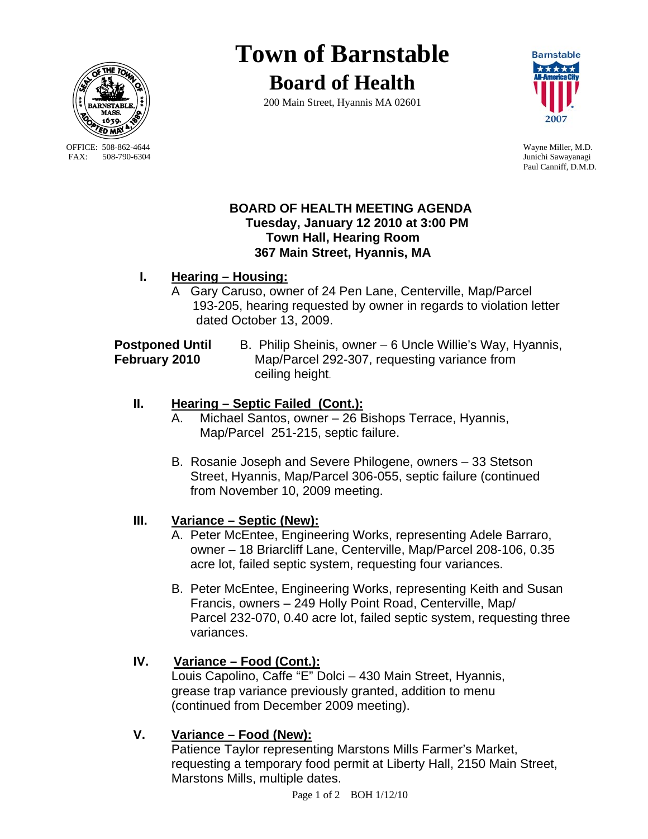

OFFICE: 508-862-4644 Wayne Miller, M.D.<br>
FAX: 508-790-6304 Junichi Sawavanagi

# **Town of Barnstable**

**Board of Health**

200 Main Street, Hyannis MA 02601



Junichi Sawayanagi Paul Canniff, D.M.D.

#### **BOARD OF HEALTH MEETING AGENDA Tuesday, January 12 2010 at 3:00 PM Town Hall, Hearing Room 367 Main Street, Hyannis, MA**

## **I. Hearing – Housing:**

A Gary Caruso, owner of 24 Pen Lane, Centerville, Map/Parcel 193-205, hearing requested by owner in regards to violation letter dated October 13, 2009.

**Postponed Until** B. Philip Sheinis, owner – 6 Uncle Willie's Way, Hyannis, **February 2010** Map/Parcel 292-307, requesting variance from ceiling height.

## **II. Hearing – Septic Failed (Cont.):**

- A. Michael Santos, owner 26 Bishops Terrace, Hyannis, Map/Parcel 251-215, septic failure.
- B. Rosanie Joseph and Severe Philogene, owners 33 Stetson Street, Hyannis, Map/Parcel 306-055, septic failure (continued from November 10, 2009 meeting.

## **III. Variance – Septic (New):**

- A. Peter McEntee, Engineering Works, representing Adele Barraro, owner – 18 Briarcliff Lane, Centerville, Map/Parcel 208-106, 0.35 acre lot, failed septic system, requesting four variances.
- B. Peter McEntee, Engineering Works, representing Keith and Susan Francis, owners – 249 Holly Point Road, Centerville, Map/ Parcel 232-070, 0.40 acre lot, failed septic system, requesting three variances.

# **IV. Variance – Food (Cont.):**

 Louis Capolino, Caffe "E" Dolci – 430 Main Street, Hyannis, grease trap variance previously granted, addition to menu (continued from December 2009 meeting).

# **V. Variance – Food (New):**

Patience Taylor representing Marstons Mills Farmer's Market, requesting a temporary food permit at Liberty Hall, 2150 Main Street, Marstons Mills, multiple dates.